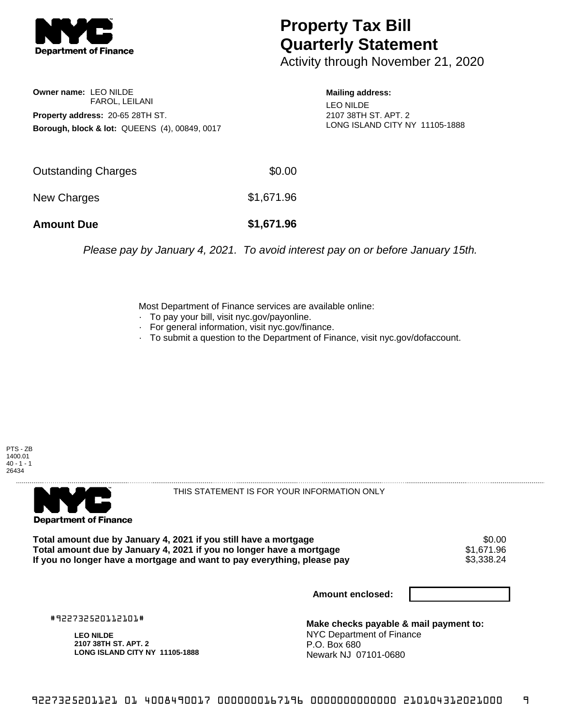

## **Property Tax Bill Quarterly Statement**

Activity through November 21, 2020

**Owner name:** LEO NILDE FAROL, LEILANI **Property address:** 20-65 28TH ST. **Borough, block & lot:** QUEENS (4), 00849, 0017 **Mailing address:**

LEO NILDE 2107 38TH ST. APT. 2 LONG ISLAND CITY NY 11105-1888

| <b>Amount Due</b>   | \$1,671.96 |
|---------------------|------------|
| New Charges         | \$1,671.96 |
| Outstanding Charges | \$0.00     |

Please pay by January 4, 2021. To avoid interest pay on or before January 15th.

Most Department of Finance services are available online:

- · To pay your bill, visit nyc.gov/payonline.
- For general information, visit nyc.gov/finance.
- · To submit a question to the Department of Finance, visit nyc.gov/dofaccount.

PTS - ZB 1400.01  $40 - 1 - 1$ 26434



THIS STATEMENT IS FOR YOUR INFORMATION ONLY

Total amount due by January 4, 2021 if you still have a mortgage \$0.00<br>Total amount due by January 4, 2021 if you no longer have a mortgage \$1.671.96 **Total amount due by January 4, 2021 if you no longer have a mortgage**  $$1,671.96$ **<br>If you no longer have a mortgage and want to pay everything, please pay**  $$3,338.24$ If you no longer have a mortgage and want to pay everything, please pay

**Amount enclosed:**

#922732520112101#

**LEO NILDE 2107 38TH ST. APT. 2 LONG ISLAND CITY NY 11105-1888**

**Make checks payable & mail payment to:** NYC Department of Finance P.O. Box 680 Newark NJ 07101-0680